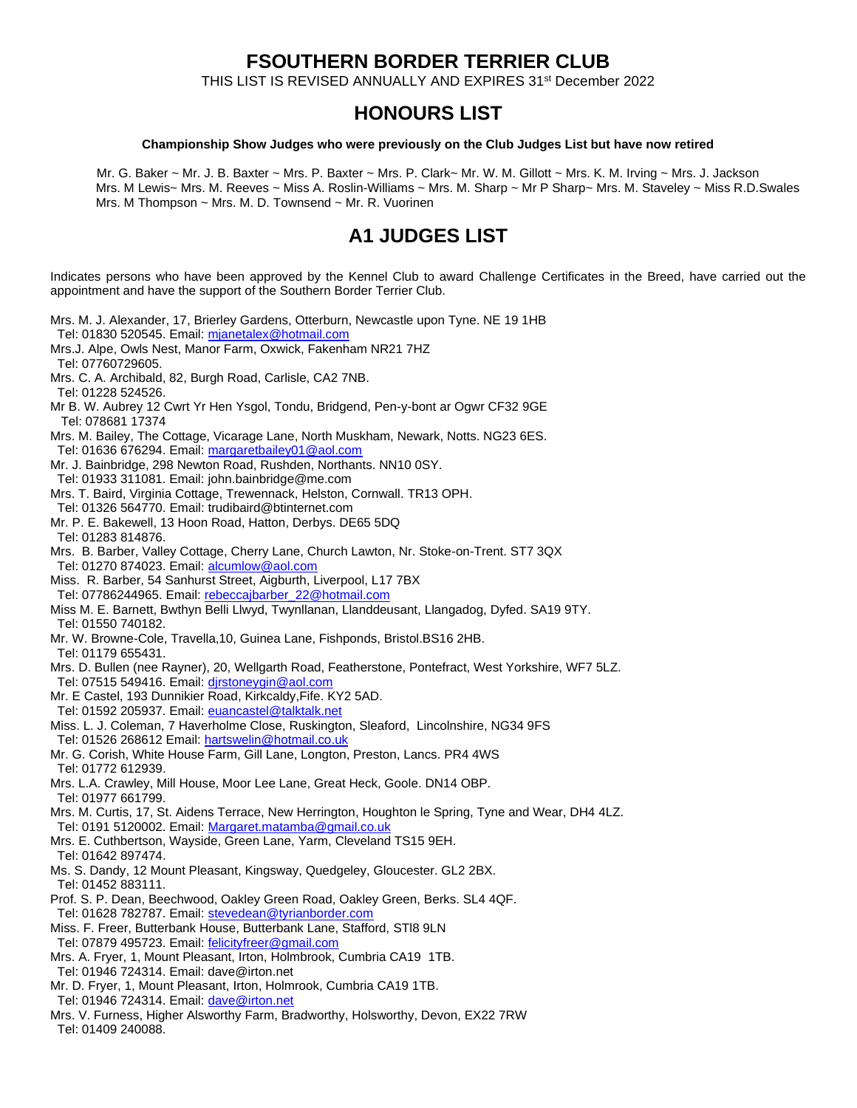## **FSOUTHERN BORDER TERRIER CLUB**

THIS LIST IS REVISED ANNUALLY AND EXPIRES 31st December 2022

## **HONOURS LIST**

#### **Championship Show Judges who were previously on the Club Judges List but have now retired**

Mr. G. Baker ~ Mr. J. B. Baxter ~ Mrs. P. Baxter ~ Mrs. P. Clark~ Mr. W. M. Gillott ~ Mrs. K. M. Irving ~ Mrs. J. Jackson Mrs. M Lewis~ Mrs. M. Reeves ~ Miss A. Roslin-Williams ~ Mrs. M. Sharp ~ Mr P Sharp~ Mrs. M. Staveley ~ Miss R.D.Swales Mrs. M Thompson  $\sim$  Mrs. M. D. Townsend  $\sim$  Mr. R. Vuorinen

## **A1 JUDGES LIST**

Indicates persons who have been approved by the Kennel Club to award Challenge Certificates in the Breed, have carried out the appointment and have the support of the Southern Border Terrier Club.

- Mrs. M. J. Alexander, 17, Brierley Gardens, Otterburn, Newcastle upon Tyne. NE 19 1HB
- Tel: 01830 520545. Email: mianetalex@hotmail.com
- Mrs.J. Alpe, Owls Nest, Manor Farm, Oxwick, Fakenham NR21 7HZ Tel: 07760729605.
- Mrs. C. A. Archibald, 82, Burgh Road, Carlisle, CA2 7NB.
- Tel: 01228 524526.
- Mr B. W. Aubrey 12 Cwrt Yr Hen Ysgol, Tondu, Bridgend, Pen-y-bont ar Ogwr CF32 9GE Tel: 078681 17374
- Mrs. M. Bailey, The Cottage, Vicarage Lane, North Muskham, Newark, Notts. NG23 6ES.
- Tel: 01636 676294. Email[: margaretbailey01@aol.com](mailto:margaretbailey01@aol.com)
- Mr. J. Bainbridge, 298 Newton Road, Rushden, Northants. NN10 0SY.
- Tel: 01933 311081. Email[: john.bainbridge@me.com](mailto:john.bainbridge@me.com)
- Mrs. T. Baird, Virginia Cottage, Trewennack, Helston, Cornwall. TR13 OPH.
- Tel: 01326 564770. Email[: trudibaird@btinternet.com](mailto:trudibaird@btinternet.com)
- Mr. P. E. Bakewell, 13 Hoon Road, Hatton, Derbys. DE65 5DQ Tel: 01283 814876.
- Mrs. B. Barber, Valley Cottage, Cherry Lane, Church Lawton, Nr. Stoke-on-Trent. ST7 3QX Tel: 01270 874023. Email[: alcumlow@aol.com](mailto:alcumlow@aol.com)
- Miss. R. Barber, 54 Sanhurst Street, Aigburth, Liverpool, L17 7BX Tel: 07786244965. Email: [rebeccajbarber\\_22@hotmail.com](mailto:rebeccajbarber_22@hotmail.com)
- Miss M. E. Barnett, Bwthyn Belli Llwyd, Twynllanan, Llanddeusant, Llangadog, Dyfed. SA19 9TY.
- Tel: 01550 740182.
- Mr. W. Browne-Cole, Travella,10, Guinea Lane, Fishponds, Bristol.BS16 2HB.
- Tel: 01179 655431.
- Mrs. D. Bullen (nee Rayner), 20, Wellgarth Road, Featherstone, Pontefract, West Yorkshire, WF7 5LZ.
- Tel: 07515 549416. Email: dirstoneygin@aol.com
- Mr. E Castel, 193 Dunnikier Road, Kirkcaldy,Fife. KY2 5AD.
- Tel: 01592 205937. Email[: euancastel@talktalk.net](mailto:euancastel@talktalk.net)
- Miss. L. J. Coleman, [7 Haverholme Close,](https://www.google.com/maps/search/7+Haverholme+close+Ruskington+Sleaford+Lincs.+NG34+9FS?entry=gmail&source=g) [Ruskington,](https://www.google.com/maps/search/7+Haverholme+close+Ruskington+Sleaford+Lincs.+NG34+9FS?entry=gmail&source=g) [Sleaford,](https://www.google.com/maps/search/7+Haverholme+close+Ruskington+Sleaford+Lincs.+NG34+9FS?entry=gmail&source=g) [Lincolnshire, NG34 9FS](https://www.google.com/maps/search/7+Haverholme+close+Ruskington+Sleaford+Lincs.+NG34+9FS?entry=gmail&source=g) Tel: 01526 268612 Email: [hartswelin@hotmail.co.uk](mailto:hartswelin@hotmail.co.uk)
- Mr. G. Corish, White House Farm, Gill Lane, Longton, Preston, Lancs. PR4 4WS Tel: 01772 612939.
- Mrs. L.A. Crawley, Mill House, Moor Lee Lane, Great Heck, Goole. DN14 OBP. Tel: 01977 661799.
- Mrs. M. Curtis, 17, St. Aidens Terrace, New Herrington, Houghton le Spring, Tyne and Wear, DH4 4LZ.
- Tel: 0191 5120002. Email[: Margaret.matamba@gmail.co.uk](mailto:Margaret.matamba@gmail.co.uk)
- Mrs. E. Cuthbertson, Wayside, Green Lane, Yarm, Cleveland TS15 9EH. Tel: 01642 897474.
- Ms. S. Dandy, 12 Mount Pleasant, Kingsway, Quedgeley, Gloucester. GL2 2BX. Tel: 01452 883111.
- Prof. S. P. Dean, Beechwood, Oakley Green Road, Oakley Green, Berks. SL4 4QF. Tel: 01628 782787. Email[: stevedean@tyrianborder.com](mailto:stevedean@tyrianborder.com)
- Miss. F. Freer, Butterbank House, Butterbank Lane, Stafford, STl8 9LN Tel: 07879 495723. Email: [felicityfreer@gmail.com](mailto:felicityfreer@gmail.com)
- Mrs. A. Fryer, 1, Mount Pleasant, Irton, Holmbrook, Cumbria CA19 1TB. Tel: 01946 724314. Email: dave@irton.net
- Mr. D. Fryer, 1, Mount Pleasant, Irton, Holmrook, Cumbria CA19 1TB.
- Tel: 01946 724314. Email[: dave@irton.net](mailto:dave@irton.net)
- Mrs. V. Furness, Higher Alsworthy Farm, Bradworthy, Holsworthy, Devon, EX22 7RW Tel: 01409 240088.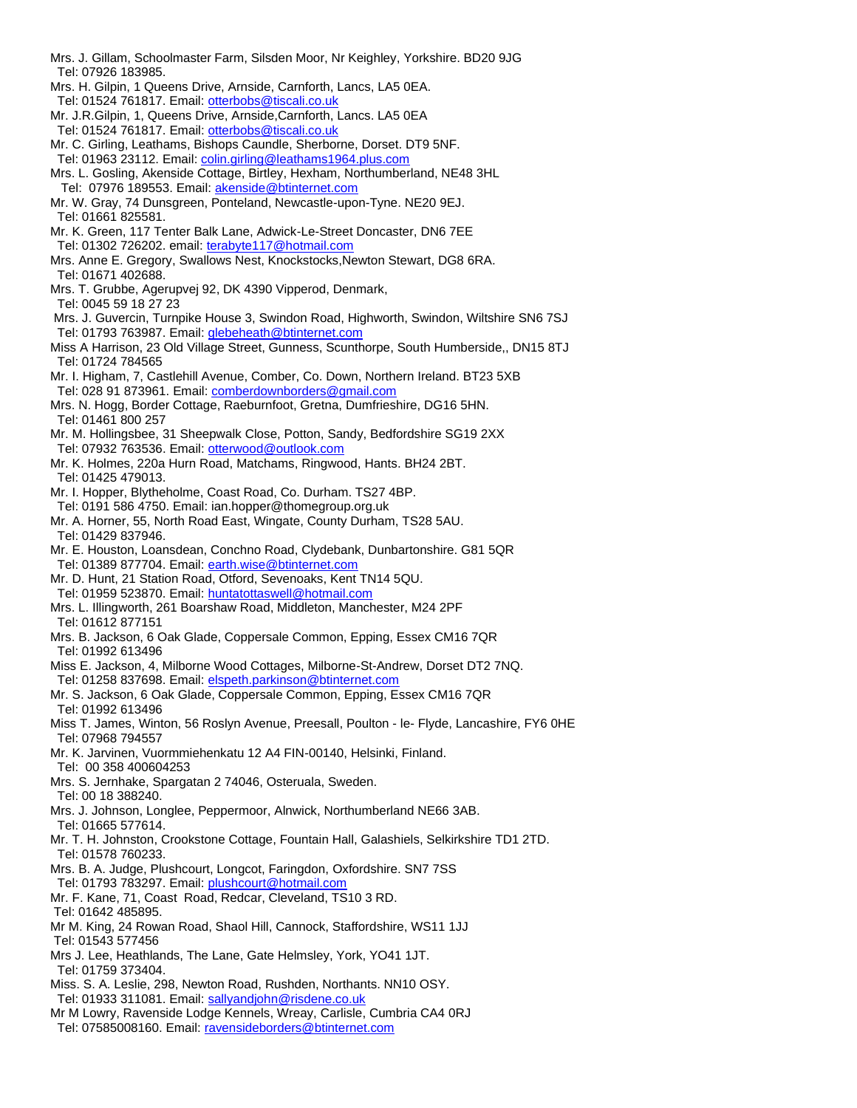- Mrs. J. Gillam, Schoolmaster Farm, Silsden Moor, Nr Keighley, Yorkshire. BD20 9JG Tel: 07926 183985.
- Mrs. H. Gilpin, 1 Queens Drive, Arnside, Carnforth, Lancs, LA5 0EA.
- Tel: 01524 761817. Email[: otterbobs@tiscali.co.uk](mailto:otterbobs@tiscali.co.uk)
- Mr. J.R.Gilpin, 1, Queens Drive, Arnside,Carnforth, Lancs. LA5 0EA Tel: 01524 761817. Email[: otterbobs@tiscali.co.uk](mailto:otterbobs@tiscali.co.uk)
- Mr. C. Girling, Leathams, Bishops Caundle, Sherborne, Dorset. DT9 5NF. Tel: 01963 23112. Email: [colin.girling@leathams1964.plus.com](mailto:colin.girling@leathams1964.plus.com)
- Mrs. L. Gosling, Akenside Cottage, Birtley, Hexham, Northumberland, NE48 3HL Tel: 07976 189553. Email[: akenside@btinternet.com](mailto:akenside@btinternet.com)
- Mr. W. Gray, 74 Dunsgreen, Ponteland, Newcastle-upon-Tyne. NE20 9EJ. Tel: 01661 825581.
- Mr. K. Green, 117 Tenter Balk Lane, Adwick-Le-Street Doncaster, DN6 7EE Tel: 01302 726202. email[: terabyte117@hotmail.com](mailto:terabyte117@hotmail.com)
- 
- Mrs. Anne E. Gregory, Swallows Nest, Knockstocks,Newton Stewart, DG8 6RA. Tel: 01671 402688.
- Mrs. T. Grubbe, Agerupvej 92, DK 4390 Vipperod, Denmark,
- Tel: 0045 59 18 27 23
- Mrs. J. Guvercin, Turnpike House 3, Swindon Road, Highworth, Swindon, Wiltshire SN6 7SJ Tel: 01793 763987. Email[: glebeheath@btinternet.com](mailto:glebeheath@btinternet.com)
- Miss A Harrison, 23 Old Village Street, Gunness, Scunthorpe, South Humberside,, DN15 8TJ Tel: 01724 784565
- Mr. I. Higham, 7, Castlehill Avenue, Comber, Co. Down, Northern Ireland. BT23 5XB Tel: 028 91 873961. Email: [comberdownborders@gmail.com](mailto:comberdownborders@gmail.com)
- Mrs. N. Hogg, Border Cottage, Raeburnfoot, Gretna, Dumfrieshire, DG16 5HN. Tel: 01461 800 257
- Mr. M. Hollingsbee, 31 Sheepwalk Close, Potton, Sandy, Bedfordshire SG19 2XX Tel: 07932 763536. Email[: otterwood@outlook.com](mailto:otterwood@outlook.com)
- Mr. K. Holmes, 220a Hurn Road, Matchams, Ringwood, Hants. BH24 2BT. Tel: 01425 479013.
- Mr. I. Hopper, Blytheholme, Coast Road, Co. Durham. TS27 4BP.
- Tel: 0191 586 4750. Email: ian.hopper@thomegroup.org.uk
- Mr. A. Horner, 55, North Road East, Wingate, County Durham, TS28 5AU. Tel: 01429 837946.
- Mr. E. Houston, Loansdean, Conchno Road, Clydebank, Dunbartonshire. G81 5QR Tel: 01389 877704. Email[: earth.wise@btinternet.com](mailto:earth.wise@btinternet.com)
- Mr. D. Hunt, 21 Station Road, Otford, Sevenoaks, Kent TN14 5QU. Tel: 01959 523870. Email[: huntatottaswell@hotmail.com](mailto:huntatottaswell@hotmail.com)
- Mrs. L. Illingworth, 261 Boarshaw Road, Middleton, Manchester, M24 2PF Tel: 01612 877151
- Mrs. B. Jackson, 6 Oak Glade, Coppersale Common, Epping, Essex CM16 7QR Tel: 01992 613496
- Miss E. Jackson, 4, Milborne Wood Cottages, Milborne-St-Andrew, Dorset DT2 7NQ.
- Tel: 01258 837698. Email[: elspeth.parkinson@btinternet.com](mailto:elspeth.parkinson@btinternet.com)
- Mr. S. Jackson, 6 Oak Glade, Coppersale Common, Epping, Essex CM16 7QR Tel: 01992 613496
- Miss T. James, Winton, 56 Roslyn Avenue, Preesall, Poulton le- Flyde, Lancashire, FY6 0HE Tel: 07968 794557
- Mr. K. Jarvinen, Vuormmiehenkatu 12 A4 FIN-00140, Helsinki, Finland. Tel: 00 358 400604253
- Mrs. S. Jernhake, Spargatan 2 74046, Osteruala, Sweden.
- Tel: 00 18 388240.
- Mrs. J. Johnson, Longlee, Peppermoor, Alnwick, Northumberland NE66 3AB. Tel: 01665 577614.
- Mr. T. H. Johnston, Crookstone Cottage, Fountain Hall, Galashiels, Selkirkshire TD1 2TD. Tel: 01578 760233.
- Mrs. B. A. Judge, Plushcourt, Longcot, Faringdon, Oxfordshire. SN7 7SS
- Tel: 01793 783297. Email[: plushcourt@hotmail.com](mailto:plushcourt@hotmail.com) Mr. F. Kane, 71, Coast Road, Redcar, Cleveland, TS10 3 RD.
- Tel: 01642 485895.
- Mr M. King, 24 Rowan Road, Shaol Hill, Cannock, Staffordshire, WS11 1JJ [Tel: 01543](tel:01543) 577456
- Mrs J. Lee, Heathlands, The Lane, Gate Helmsley, York, YO41 1JT. Tel: 01759 373404.
- Miss. S. A. Leslie, 298, Newton Road, Rushden, Northants. NN10 OSY. Tel: 01933 311081. Email[: sallyandjohn@risdene.co.uk](mailto:sallyandjohn@risdene.co.uk)
- Mr M Lowry, Ravenside Lodge Kennels, Wreay, Carlisle, Cumbria CA4 0RJ Tel: 07585008160. Email: [ravensideborders@btinternet.com](mailto:ravensideborders@btinternet.com)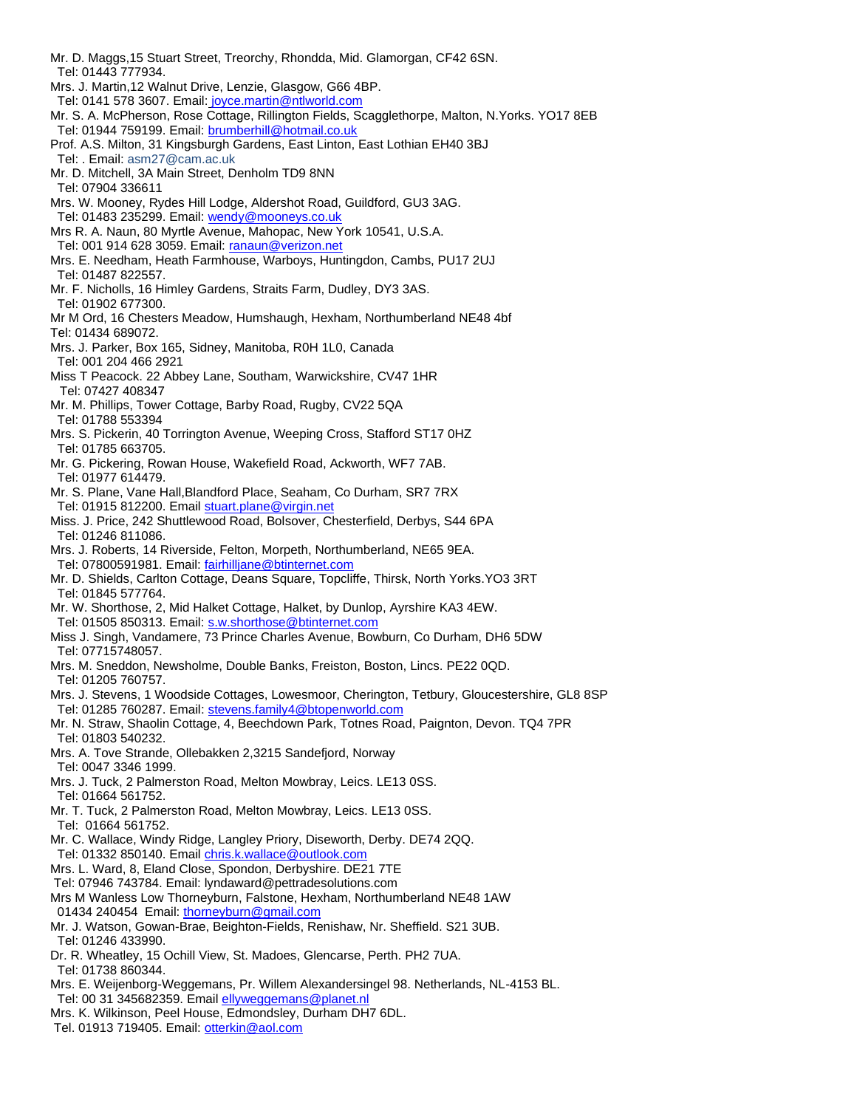- Mr. D. Maggs,15 Stuart Street, Treorchy, Rhondda, Mid. Glamorgan, CF42 6SN. Tel: 01443 777934. Mrs. J. Martin,12 Walnut Drive, Lenzie, Glasgow, G66 4BP. Tel: 0141 578 3607. Email: [joyce.martin@ntlworld.com](mailto:joyce.martin@ntlworld.com) Mr. S. A. McPherson, Rose Cottage, Rillington Fields, Scagglethorpe, Malton, N.Yorks. YO17 8EB Tel: 01944 759199. Email[: brumberhill@hotmail.co.uk](mailto:brumberhill@hotmail.co.uk) Prof. A.S. Milton, 31 Kingsburgh Gardens, East Linton, East Lothian EH40 3BJ Tel: . Email: [asm27@cam.ac.uk](mailto:asm27@cam.ac.uk) Mr. D. Mitchell, 3A Main Street, Denholm TD9 8NN Tel: 07904 336611 Mrs. W. Mooney, Rydes Hill Lodge, Aldershot Road, Guildford, GU3 3AG. Tel: 01483 235299. Email[: wendy@mooneys.co.uk](mailto:wendy@mooneys.co.uk) Mrs R. A. Naun, 80 Myrtle Avenue, Mahopac, New York 10541, U.S.A. Tel: 001 914 628 3059. Email[: ranaun@verizon.net](mailto:ranaun@verizon.net) Mrs. E. Needham, Heath Farmhouse, Warboys, Huntingdon, Cambs, PU17 2UJ Tel: 01487 822557. Mr. F. Nicholls, 16 Himley Gardens, Straits Farm, Dudley, DY3 3AS. Tel: 01902 677300. Mr M Ord, 16 Chesters Meadow, Humshaugh, Hexham, Northumberland NE48 4bf Tel: 01434 689072. Mrs. J. Parker, Box 165, Sidney, Manitoba, R0H 1L0, Canada Tel: 001 204 466 2921 Miss T Peacock. 22 Abbey Lane, Southam, Warwickshire, CV47 1HR Tel: 07427 408347 Mr. M. Phillips, Tower Cottage, Barby Road, Rugby, CV22 5QA Tel: 01788 553394 Mrs. S. Pickerin, 40 Torrington Avenue, Weeping Cross, Stafford ST17 0HZ Tel: 01785 663705. Mr. G. Pickering, Rowan House, Wakefield Road, Ackworth, WF7 7AB. Tel: 01977 614479. Mr. S. Plane, Vane Hall,Blandford Place, Seaham, Co Durham, SR7 7RX Tel: 01915 812200. Email [stuart.plane@virgin.net](mailto:stuart.plane@virgin.net) Miss. J. Price, 242 Shuttlewood Road, Bolsover, Chesterfield, Derbys, S44 6PA Tel: 01246 811086. Mrs. J. Roberts, 14 Riverside, Felton, Morpeth, Northumberland, NE65 9EA. Tel: 07800591981. Email: [fairhilljane@btinternet.com](mailto:fairhilljane@btinternet.com) Mr. D. Shields, Carlton Cottage, Deans Square, Topcliffe, Thirsk, North Yorks.YO3 3RT Tel: 01845 577764. Mr. W. Shorthose, 2, Mid Halket Cottage, Halket, by Dunlop, Ayrshire KA3 4EW. Tel: 01505 850313. Email[: s.w.shorthose@btinternet.com](mailto:s.w.shorthose@btinternet.com) Miss J. Singh, Vandamere, 73 Prince Charles Avenue, Bowburn, Co Durham, DH6 5DW Tel: 07715748057. Mrs. M. Sneddon, Newsholme, Double Banks, Freiston, Boston, Lincs. PE22 0QD. Tel: 01205 760757. Mrs. J. Stevens, 1 Woodside Cottages, Lowesmoor, Cherington, Tetbury, Gloucestershire, GL8 8SP Tel: 01285 760287. Email: [stevens.family4@btopenworld.com](mailto:stevens.family4@btopenworld.com) Mr. N. Straw, Shaolin Cottage, 4, Beechdown Park, Totnes Road, Paignton, Devon. TQ4 7PR Tel: 01803 540232. Mrs. A. Tove Strande, Ollebakken 2,3215 Sandefjord, Norway Tel: 0047 3346 1999. Mrs. J. Tuck, 2 Palmerston Road, Melton Mowbray, Leics. LE13 0SS. Tel: 01664 561752. Mr. T. Tuck, 2 Palmerston Road, Melton Mowbray, Leics. LE13 0SS. Tel: 01664 561752. Mr. C. Wallace, Windy Ridge, Langley Priory, Diseworth, Derby. DE74 2QQ. Tel: 01332 850140. Email [chris.k.wallace@outlook.com](mailto:chris.k.wallace@outlook.com) Mrs. L. Ward, 8, Eland Close, Spondon, Derbyshire. DE21 7TE Tel: 07946 743784. Email: [lyndaward@pettradesolutions.com](mailto:lyndaward@pettradesolutions.com) Mrs M Wanless Low Thorneyburn, Falstone, Hexham, Northumberland NE48 1AW 01434 240454 Email: [thorneyburn@gmail.com](mailto:thorneyburn@gmail.com) Mr. J. Watson, Gowan-Brae, Beighton-Fields, Renishaw, Nr. Sheffield. S21 3UB. Tel: 01246 433990. Dr. R. Wheatley, 15 Ochill View, St. Madoes, Glencarse, Perth. PH2 7UA. Tel: 01738 860344. Mrs. E. Weijenborg-Weggemans, Pr. Willem Alexandersingel 98. Netherlands, NL-4153 BL. Tel: 00 31 345682359. Emai[l ellyweggemans@planet.nl](mailto:ellyweggemans@planet.nl)
- Mrs. K. Wilkinson, Peel House, Edmondsley, Durham DH7 6DL.
- Tel. 01913 719405. Email: [otterkin@aol.com](mailto:otterkin@aol.com)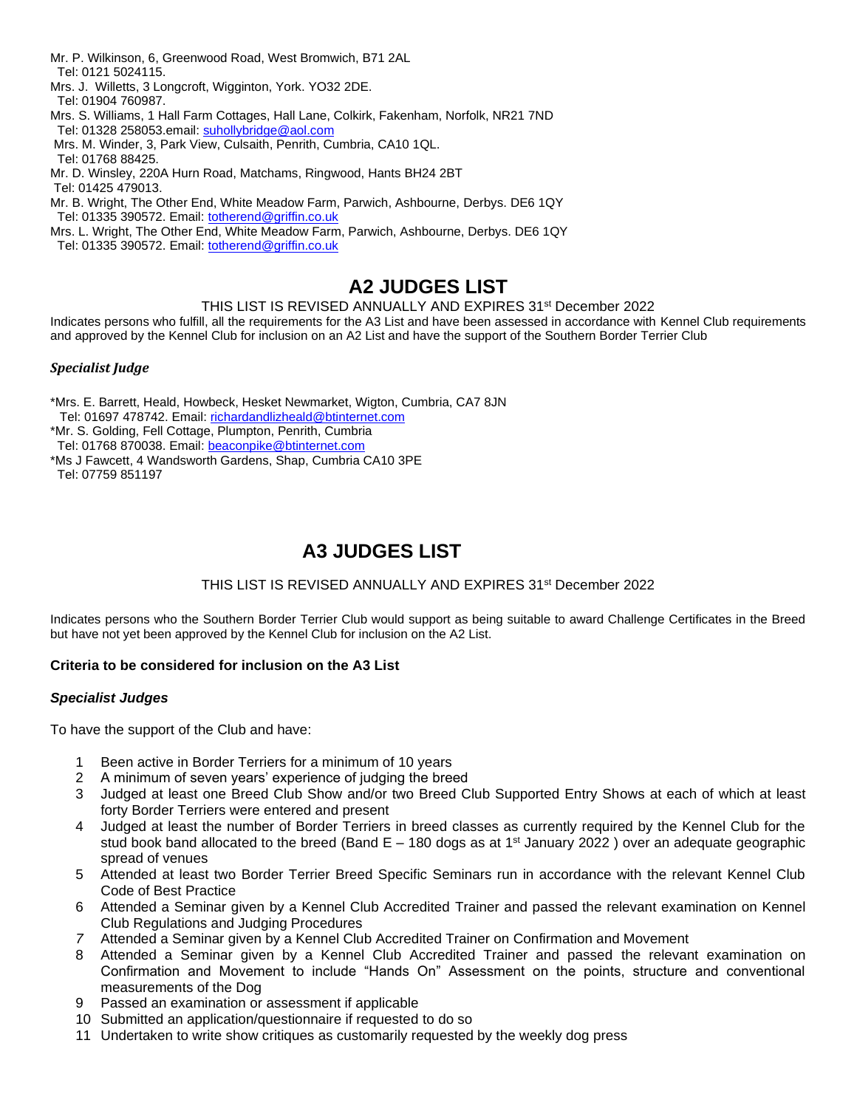- Mr. P. Wilkinson, 6, Greenwood Road, West Bromwich, B71 2AL Tel: 0121 5024115.
- Mrs. J. Willetts, 3 Longcroft, Wigginton, York. YO32 2DE.
- Tel: 01904 760987.
- Mrs. S. Williams, 1 Hall Farm Cottages, Hall Lane, Colkirk, Fakenham, Norfolk, NR21 7ND Tel: 01328 258053.email: [suhollybridge@aol.com](mailto:suhollybridge@aol.com)
- Mrs. M. Winder, 3, Park View, Culsaith, Penrith, Cumbria, CA10 1QL. Tel: 01768 88425.
- Mr. D. Winsley, 220A Hurn Road, Matchams, Ringwood, Hants BH24 2BT Tel: 01425 479013.
- Mr. B. Wright, The Other End, White Meadow Farm, Parwich, Ashbourne, Derbys. DE6 1QY Tel: 01335 390572. Email[: totherend@griffin.co.uk](mailto:totherend@griffin.co.uk)
- Mrs. L. Wright, The Other End, White Meadow Farm, Parwich, Ashbourne, Derbys. DE6 1QY Tel: 01335 390572. Email[: totherend@griffin.co.uk](mailto:totherend@griffin.co.uk)

# **A2 JUDGES LIST**

## THIS LIST IS REVISED ANNUALLY AND EXPIRES 31st December 2022

Indicates persons who fulfill, all the requirements for the A3 List and have been assessed in accordance with Kennel Club requirements and approved by the Kennel Club for inclusion on an A2 List and have the support of the Southern Border Terrier Club

## *Specialist Judge*

- \*Mrs. E. Barrett, Heald, Howbeck, Hesket Newmarket, Wigton, Cumbria, CA7 8JN [Tel: 01697](tel:01697) 478742. Email: [richardandlizheald@btinternet.com](mailto:richardandlizheald@btinternet.com)
- \*Mr. S. Golding, Fell Cottage, Plumpton, Penrith, Cumbria
- Tel: 01768 870038. Email[: beaconpike@btinternet.com](mailto:beaconpike@btinternet.com)
- \*Ms J Fawcett, 4 Wandsworth Gardens, Shap, Cumbria CA10 3PE

Tel: 07759 851197

# **A3 JUDGES LIST**

## THIS LIST IS REVISED ANNUALLY AND EXPIRES 31st December 2022

Indicates persons who the Southern Border Terrier Club would support as being suitable to award Challenge Certificates in the Breed but have not yet been approved by the Kennel Club for inclusion on the A2 List.

## **Criteria to be considered for inclusion on the A3 List**

## *Specialist Judges*

To have the support of the Club and have:

- 1 Been active in Border Terriers for a minimum of 10 years
- 2 A minimum of seven years' experience of judging the breed
- 3 Judged at least one Breed Club Show and/or two Breed Club Supported Entry Shows at each of which at least forty Border Terriers were entered and present
- 4 Judged at least the number of Border Terriers in breed classes as currently required by the Kennel Club for the stud book band allocated to the breed (Band  $E - 180$  dogs as at 1<sup>st</sup> January 2022) over an adequate geographic spread of venues
- 5 Attended at least two Border Terrier Breed Specific Seminars run in accordance with the relevant Kennel Club Code of Best Practice
- 6 Attended a Seminar given by a Kennel Club Accredited Trainer and passed the relevant examination on Kennel Club Regulations and Judging Procedures
- *7* Attended a Seminar given by a Kennel Club Accredited Trainer on Confirmation and Movement
- 8 Attended a Seminar given by a Kennel Club Accredited Trainer and passed the relevant examination on Confirmation and Movement to include "Hands On" Assessment on the points, structure and conventional measurements of the Dog
- 9 Passed an examination or assessment if applicable
- 10 Submitted an application/questionnaire if requested to do so
- 11 Undertaken to write show critiques as customarily requested by the weekly dog press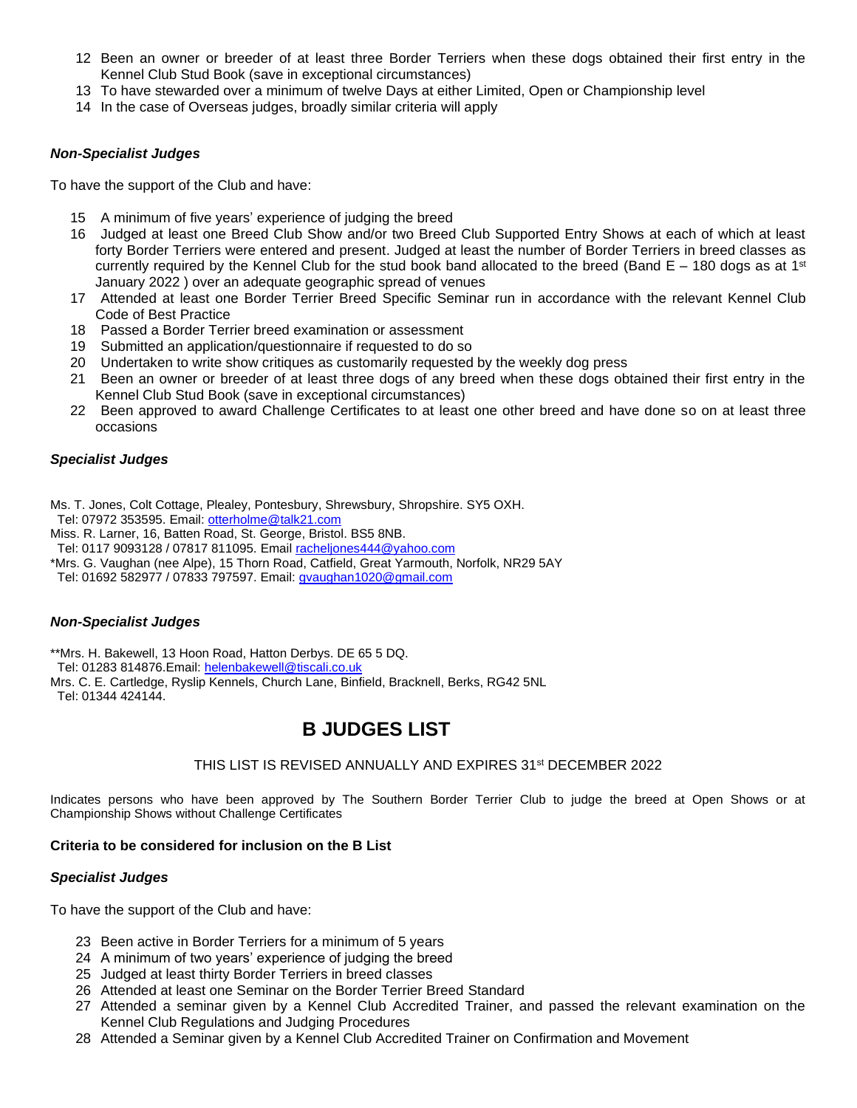- 12 Been an owner or breeder of at least three Border Terriers when these dogs obtained their first entry in the Kennel Club Stud Book (save in exceptional circumstances)
- 13 To have stewarded over a minimum of twelve Days at either Limited, Open or Championship level
- 14 In the case of Overseas judges, broadly similar criteria will apply

## *Non-Specialist Judges*

To have the support of the Club and have:

- 15 A minimum of five years' experience of judging the breed
- 16 Judged at least one Breed Club Show and/or two Breed Club Supported Entry Shows at each of which at least forty Border Terriers were entered and present. Judged at least the number of Border Terriers in breed classes as currently required by the Kennel Club for the stud book band allocated to the breed (Band E – 180 dogs as at 1<sup>st</sup> January 2022 ) over an adequate geographic spread of venues
- 17 Attended at least one Border Terrier Breed Specific Seminar run in accordance with the relevant Kennel Club Code of Best Practice
- 18 Passed a Border Terrier breed examination or assessment
- 19 Submitted an application/questionnaire if requested to do so
- 20 Undertaken to write show critiques as customarily requested by the weekly dog press
- 21 Been an owner or breeder of at least three dogs of any breed when these dogs obtained their first entry in the Kennel Club Stud Book (save in exceptional circumstances)
- 22 Been approved to award Challenge Certificates to at least one other breed and have done so on at least three occasions

## *Specialist Judges*

Ms. T. Jones, Colt Cottage, Plealey, Pontesbury, Shrewsbury, Shropshire. SY5 OXH.

- Tel: 07972 353595. Email: [otterholme@talk21.com](mailto:otterholme@talk21.com)
- Miss. R. Larner, 16, Batten Road, St. George, Bristol. BS5 8NB.
- Tel: 0117 9093128 / 07817 811095. Email [racheljones444@yahoo.com](mailto:racheljones444@yahoo.com)
- \*Mrs. G. Vaughan (nee Alpe), 15 Thorn Road, Catfield, Great Yarmouth, Norfolk, NR29 5AY

Tel: 01692 582977 / 07833 797597. Email[: gvaughan1020@gmail.com](mailto:gvaughan1020@gmail.com)

### *Non-Specialist Judges*

\*\*Mrs. H. Bakewell, 13 Hoon Road, Hatton Derbys. DE 65 5 DQ.

Tel: 01283 814876.Email: [helenbakewell@tiscali.co.uk](mailto:helenbakewell@tiscali.co.uk)

Mrs. C. E. Cartledge, Ryslip Kennels, Church Lane, Binfield, Bracknell, Berks, RG42 5NL

Tel: 01344 424144.

## **B JUDGES LIST**

## THIS LIST IS REVISED ANNUALLY AND EXPIRES 31<sup>st</sup> DECEMBER 2022

Indicates persons who have been approved by The Southern Border Terrier Club to judge the breed at Open Shows or at Championship Shows without Challenge Certificates

### **Criteria to be considered for inclusion on the B List**

### *Specialist Judges*

To have the support of the Club and have:

- 23 Been active in Border Terriers for a minimum of 5 years
- 24 A minimum of two years' experience of judging the breed
- 25 Judged at least thirty Border Terriers in breed classes
- 26 Attended at least one Seminar on the Border Terrier Breed Standard
- 27 Attended a seminar given by a Kennel Club Accredited Trainer, and passed the relevant examination on the Kennel Club Regulations and Judging Procedures
- 28 Attended a Seminar given by a Kennel Club Accredited Trainer on Confirmation and Movement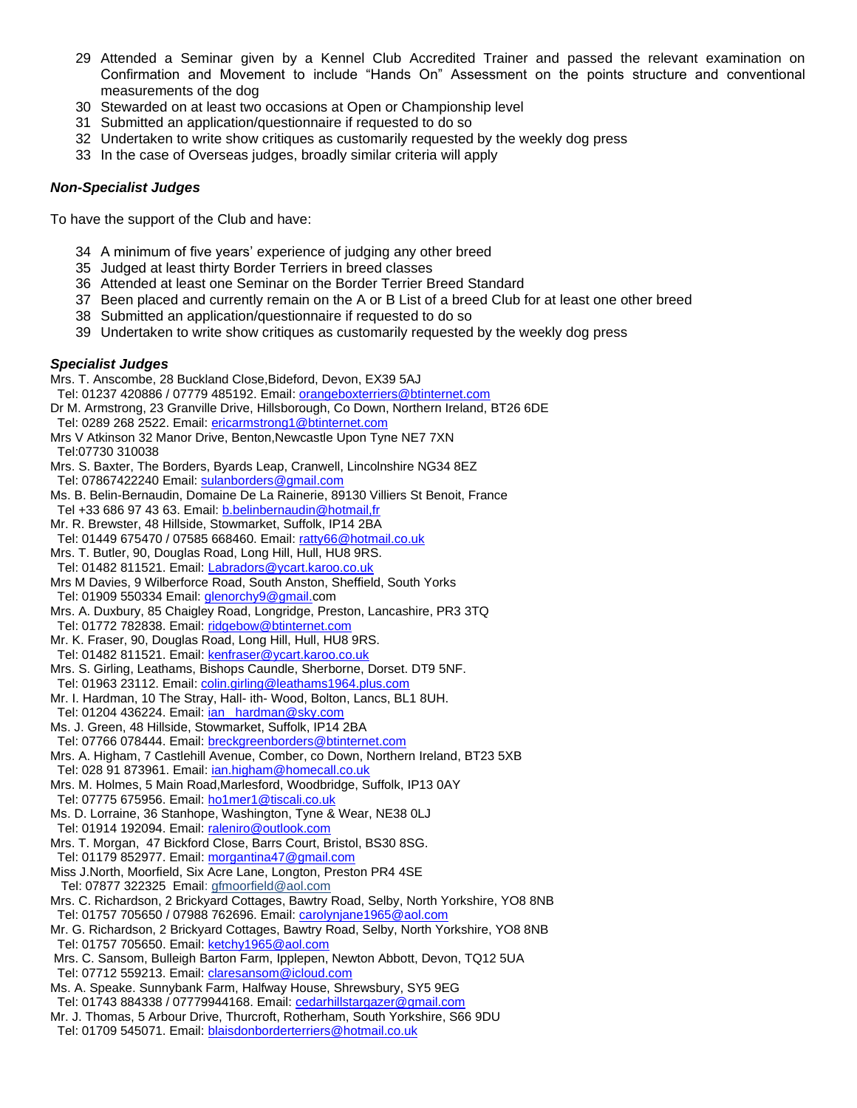- 29 Attended a Seminar given by a Kennel Club Accredited Trainer and passed the relevant examination on Confirmation and Movement to include "Hands On" Assessment on the points structure and conventional measurements of the dog
- 30 Stewarded on at least two occasions at Open or Championship level
- 31 Submitted an application/questionnaire if requested to do so
- 32 Undertaken to write show critiques as customarily requested by the weekly dog press
- 33 In the case of Overseas judges, broadly similar criteria will apply

## *Non-Specialist Judges*

To have the support of the Club and have:

- 34 A minimum of five years' experience of judging any other breed
- 35 Judged at least thirty Border Terriers in breed classes
- 36 Attended at least one Seminar on the Border Terrier Breed Standard
- 37 Been placed and currently remain on the A or B List of a breed Club for at least one other breed
- 38 Submitted an application/questionnaire if requested to do so
- 39 Undertaken to write show critiques as customarily requested by the weekly dog press

#### *Specialist Judges*

Mrs. T. Anscombe, 28 Buckland Close,Bideford, Devon, EX39 5AJ Tel: 01237 420886 / 07779 485192. Email: [orangeboxterriers@btinternet.com](mailto:orangeboxterriers@btinternet.com)

- Dr M. Armstrong, 23 Granville Drive, Hillsborough, Co Down, Northern Ireland, BT26 6DE Tel: 0289 268 2522. Email: [ericarmstrong1@btinternet.com](mailto:ericarmstrong1@btinternet.com)
- 
- Mrs V Atkinson 32 Manor Drive, Benton,Newcastle Upon Tyne NE7 7XN [Tel:07730](tel:07730) 310038
- Mrs. S. Baxter, The Borders, Byards Leap, Cranwell, Lincolnshire NG34 8EZ
- Tel: 07867422240 Email[: sulanborders@gmail.com](mailto:sulanborders@gmail.com)
- Ms. B. Belin-Bernaudin, Domaine De La Rainerie, 89130 Villiers St Benoit, France Tel +33 686 97 43 63. Email: [b.belinbernaudin@hotmail,fr](mailto:b.belinbernaudin@hotmail,fr)
- Mr. R. Brewster, 48 Hillside, Stowmarket, Suffolk, IP14 2BA
- Tel: 01449 675470 / 07585 668460. Email[: ratty66@hotmail.co.uk](mailto:ratty66@hotmail.co.uk)
- Mrs. T. Butler, 90, Douglas Road, Long Hill, Hull, HU8 9RS. Tel: 01482 811521. Email[: Labradors@ycart.karoo.co.uk](mailto:Labradors@ycart.karoo.co.uk)
- Mrs M Davies, 9 Wilberforce Road, South Anston, Sheffield, South Yorks Tel: 01909 550334 Email: *glenorchy9@gmail.com*
- Mrs. A. Duxbury, 85 Chaigley Road, Longridge, Preston, Lancashire, PR3 3TQ
- Tel: 01772 782838. Email[: ridgebow@btinternet.com](mailto:ridgebow@btinternet.com)
- Mr. K. Fraser, 90, Douglas Road, Long Hill, Hull, HU8 9RS.
- Tel: 01482 811521. Email: [kenfraser@ycart.karoo.co.uk](mailto:kenfraser@ycart.karoo.co.uk) Mrs. S. Girling, Leathams, Bishops Caundle, Sherborne, Dorset. DT9 5NF.
- Tel: 01963 23112. Email: [colin.girling@leathams1964.plus.com](mailto:colin.girling@leathams1964.plus.com)
- Mr. I. Hardman, 10 The Stray, Hall- ith- Wood, Bolton, Lancs, BL1 8UH. Tel: 01204 436224. Email: ian [\\_hardman@sky.com](mailto:_hardman@sky.com)
- Ms. J. Green, 48 Hillside, Stowmarket, Suffolk, IP14 2BA
- Tel: 07766 078444. Email[: breckgreenborders@btinternet.com](mailto:breckgreenborders@btinternet.com)
- Mrs. A. Higham, 7 Castlehill Avenue, Comber, co Down, Northern Ireland, BT23 5XB Tel: 028 91 873961. Email: jan.higham@homecall.co.uk
- Mrs. M. Holmes, 5 Main Road,Marlesford, Woodbridge, Suffolk, IP13 0AY
- Tel: 07775 675956. Email[: ho1mer1@tiscali.co.uk](mailto:ho1mer1@tiscali.co.uk)
- Ms. D. Lorraine, 36 Stanhope, Washington, Tyne & Wear, NE38 0LJ
- Tel: 01914 192094. Email[: raleniro@outlook.com](mailto:raleniro@outlook.com)
- Mrs. T. Morgan, 47 Bickford Close, Barrs Court, Bristol, BS30 8SG.
- Tel: 01179 852977. Email: [morgantina47@gmail.com](mailto:morgantina47@gmail.com)
- Miss J.North, Moorfield, Six Acre Lane, Longton, Preston PR4 4SE
- Tel: 07877 322325 Email: gfmoorfield@aol.com
- Mrs. C. Richardson, 2 Brickyard Cottages, Bawtry Road, Selby, North Yorkshire, YO8 8NB Tel: 01757 705650 / 07988 762696. Email[: carolynjane1965@aol.com](mailto:carolynjane1965@aol.com)
- Mr. G. Richardson, 2 Brickyard Cottages, Bawtry Road, Selby, North Yorkshire, YO8 8NB Tel: 01757 705650. Email[: ketchy1965@aol.com](mailto:ketchy1965@aol.com)
- Mrs. C. Sansom, Bulleigh Barton Farm, Ipplepen, Newton Abbott, Devon, TQ12 5UA Tel: 07712 559213. Email[: claresansom@icloud.com](mailto:claresansom@icloud.com)
- Ms. A. Speake. Sunnybank Farm, Halfway House, Shrewsbury, SY5 9EG
- Tel: 01743 884338 / 07779944168. Email: [cedarhillstargazer@gmail.com](mailto:cedarhillstargazer@gmail.com)
- Mr. J. Thomas, 5 Arbour Drive, Thurcroft, Rotherham, South Yorkshire, S66 9DU Tel: 01709 545071. Email[: blaisdonborderterriers@hotmail.co.uk](mailto:blaisdonborderterriers@hotmail.co.uk)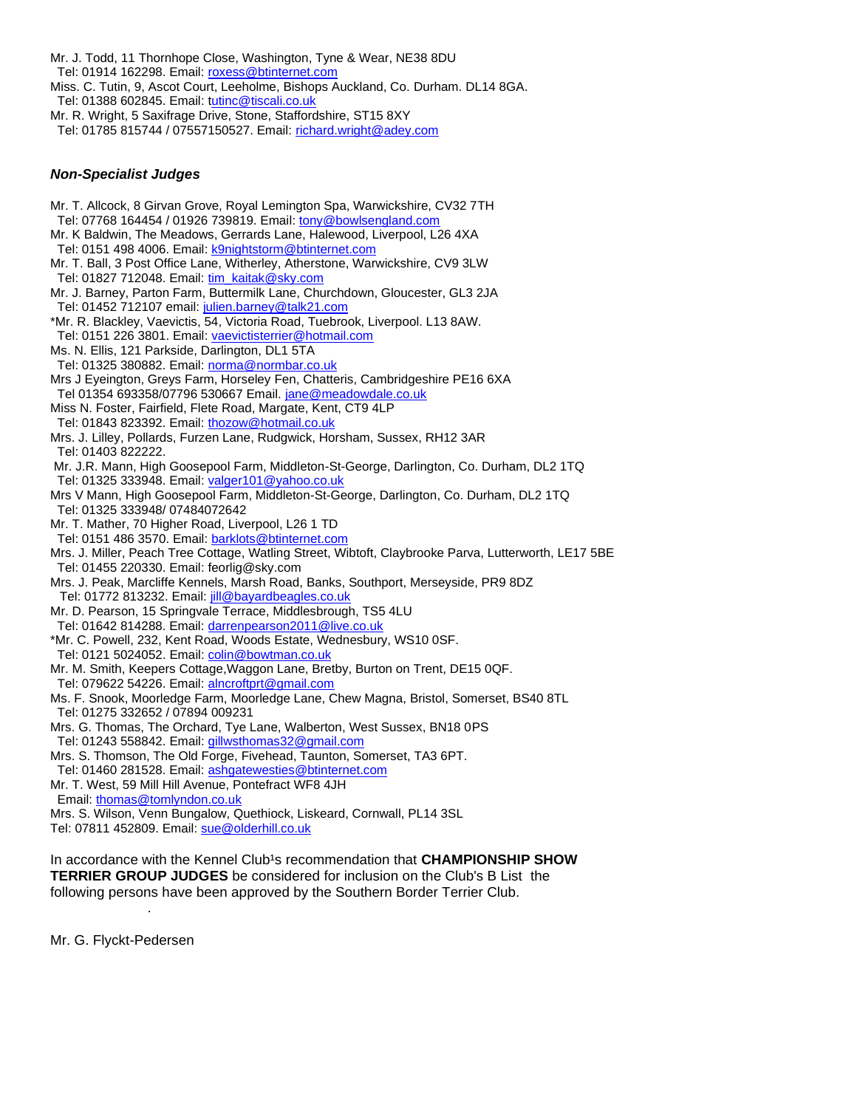Mr. J. Todd, 11 Thornhope Close, Washington, Tyne & Wear, NE38 8DU Tel: 01914 162298. Email[: roxess@btinternet.com](mailto:roxess@btinternet.com) Miss. C. Tutin, 9, Ascot Court, Leeholme, Bishops Auckland, Co. Durham. DL14 8GA. Tel: 01388 602845. Email[: tutinc@tiscali.co.uk](mailto:tutinc@tiscali.co.uk) Mr. R. Wright, 5 Saxifrage Drive, Stone, Staffordshire, ST15 8XY

Tel: 01785 815744 / 07557150527. Email: [richard.wright@adey.com](mailto:richard.wright@adey.com) 

#### *Non-Specialist Judges*

Mr. T. Allcock, 8 Girvan Grove, Royal Lemington Spa, Warwickshire, CV32 7TH Tel: 07768 164454 / 01926 739819. Email[: tony@bowlsengland.com](mailto:tony@bowlsengland.com) Mr. K Baldwin, The Meadows, Gerrards Lane, Halewood, Liverpool, L26 4XA Tel: 0151 498 4006. Email: [k9nightstorm@btinternet.com](mailto:k9nightstorm@btinternet.com) Mr. T. Ball, 3 Post Office Lane, Witherley, Atherstone, Warwickshire, CV9 3LW Tel: 01827 712048. Email[: tim\\_kaitak@sky.com](mailto:tim_kaitak@sky.com) Mr. J. Barney, Parton Farm, Buttermilk Lane, Churchdown, Gloucester, GL3 2JA Tel: 01452 712107 email: [julien.barney@talk21.com](mailto:julien.barney@talk21.com) \*Mr. R. Blackley, Vaevictis, 54, Victoria Road, Tuebrook, Liverpool. L13 8AW. Tel: 0151 226 3801. Email: [vaevictisterrier@hotmail.com](mailto:vaevictisterrier@hotmail.com) Ms. N. Ellis, 121 Parkside, Darlington, DL1 5TA Tel: 01325 380882. Email[: norma@normbar.co.uk](mailto:norma@normbar.co.uk) Mrs J Eyeington, Greys Farm, Horseley Fen, Chatteris, Cambridgeshire PE16 6XA Tel 01354 693358/07796 530667 Email[. jane@meadowdale.co.uk](mailto:jane@meadowdale.co.uk) Miss N. Foster, Fairfield, Flete Road, Margate, Kent, CT9 4LP Tel: 01843 823392. Email[: thozow@hotmail.co.uk](mailto:thozow@hotmail.co.uk) Mrs. J. Lilley, Pollards, Furzen Lane, Rudgwick, Horsham, Sussex, RH12 3AR Tel: 01403 822222. Mr. J.R. Mann, High Goosepool Farm, Middleton-St-George, Darlington, Co. Durham, DL2 1TQ Tel: 01325 333948. Email[: valger101@yahoo.co.uk](mailto:valger101@yahoo.co.uk) Mrs V Mann, High Goosepool Farm, Middleton-St-George, Darlington, Co. Durham, DL2 1TQ Tel: 01325 333948/ 07484072642 Mr. T. Mather, 70 Higher Road, Liverpool, L26 1 TD Tel: 0151 486 3570. Email: [barklots@btinternet.com](mailto:barklots@btinternet.com) Mrs. J. Miller, Peach Tree Cottage, Watling Street, Wibtoft, Claybrooke Parva, Lutterworth, LE17 5BE Tel: 01455 220330. Email: feorlig@sky.com Mrs. J. Peak, Marcliffe Kennels, Marsh Road, Banks, Southport, Merseyside, PR9 8DZ [Tel: 01772](tel:01772) 813232. Email: [jill@bayardbeagles.co.uk](mailto:jill@bayardbeagles.co.uk) Mr. D. Pearson, 15 Springvale Terrace, Middlesbrough, TS5 4LU Tel: 01642 814288. Email[: darrenpearson2011@live.co.uk](mailto:darrenpearson2011@live.co.uk) \*Mr. C. Powell, 232, Kent Road, Woods Estate, Wednesbury, WS10 0SF. Tel: 0121 5024052. Email[: colin@bowtman.co.uk](mailto:colin@bowtman.co.uk) Mr. M. Smith, Keepers Cottage,Waggon Lane, Bretby, Burton on Trent, DE15 0QF. Tel: 079622 54226. Email[: alncroftprt@gmail.com](mailto:alncroftprt@gmail.com) Ms. F. Snook, Moorledge Farm, Moorledge Lane, Chew Magna, Bristol, Somerset, BS40 8TL Tel: 01275 332652 / 07894 009231 Mrs. G. Thomas, The Orchard, Tye Lane, Walberton, West Sussex, BN18 0PS Tel: 01243 558842. Email[: gillwsthomas32@gmail.com](mailto:gillwsthomas32@gmail.com) Mrs. S. Thomson, The Old Forge, Fivehead, Taunton, Somerset, TA3 6PT. Tel: 01460 281528. Email[: ashgatewesties@btinternet.com](mailto:ashgatewesties@btinternet.com) Mr. T. West, 59 Mill Hill Avenue, Pontefract WF8 4JH Email[: thomas@tomlyndon.co.uk](mailto:thomas@tomlyndon.co.uk) Mrs. S. Wilson, Venn Bungalow, Quethiock, Liskeard, Cornwall, PL14 3SL Tel: 07811 452809. Email[: sue@olderhill.co.uk](mailto:sue@olderhill.co.uk) In accordance with the Kennel Club<sup>1</sup>s recommendation that **CHAMPIONSHIP SHOW** 

**TERRIER GROUP JUDGES** be considered for inclusion on the Club's B List the following persons have been approved by the Southern Border Terrier Club. .

Mr. G. Flyckt-Pedersen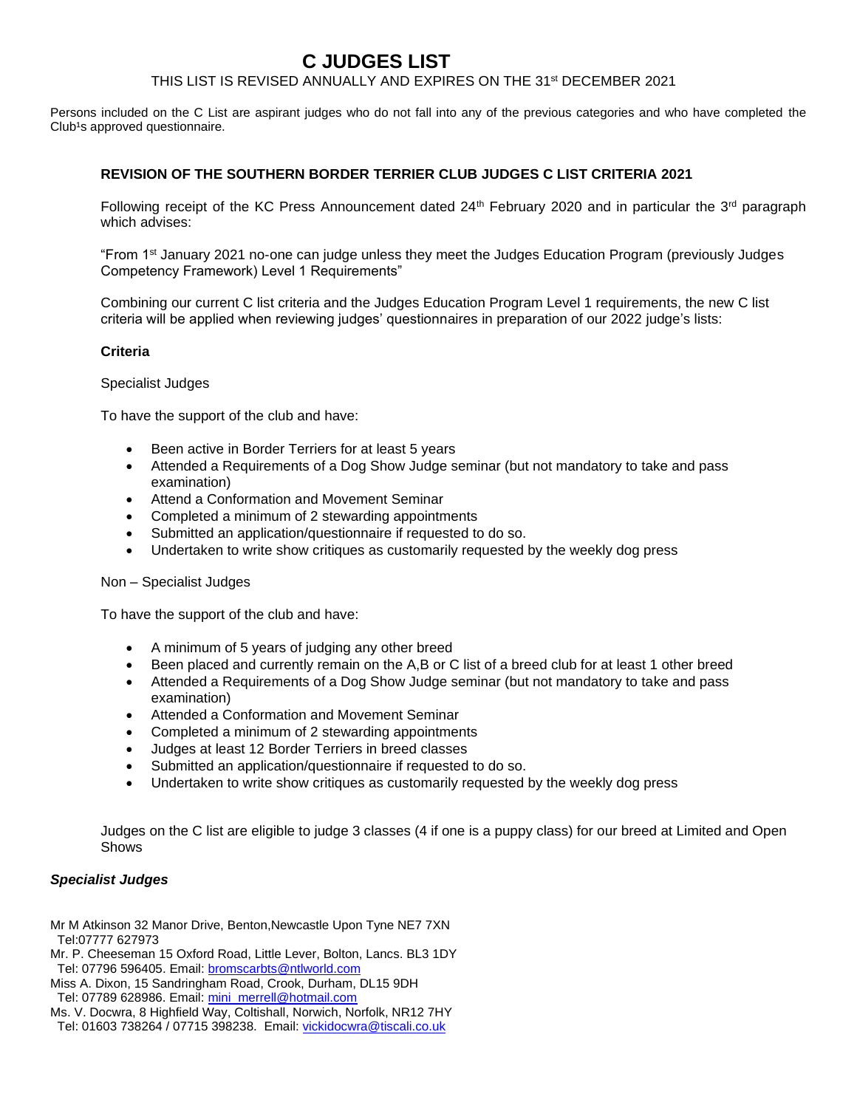# **C JUDGES LIST**

## THIS LIST IS REVISED ANNUALLY AND EXPIRES ON THE 31st DECEMBER 2021

Persons included on the C List are aspirant judges who do not fall into any of the previous categories and who have completed the Club<sup>1</sup>s approved questionnaire.

### **REVISION OF THE SOUTHERN BORDER TERRIER CLUB JUDGES C LIST CRITERIA 2021**

Following receipt of the KC Press Announcement dated  $24<sup>th</sup>$  February 2020 and in particular the  $3<sup>rd</sup>$  paragraph which advises:

"From 1st January 2021 no-one can judge unless they meet the Judges Education Program (previously Judges Competency Framework) Level 1 Requirements"

Combining our current C list criteria and the Judges Education Program Level 1 requirements, the new C list criteria will be applied when reviewing judges' questionnaires in preparation of our 2022 judge's lists:

#### **Criteria**

#### Specialist Judges

To have the support of the club and have:

- Been active in Border Terriers for at least 5 years
- Attended a Requirements of a Dog Show Judge seminar (but not mandatory to take and pass examination)
- Attend a Conformation and Movement Seminar
- Completed a minimum of 2 stewarding appointments
- Submitted an application/questionnaire if requested to do so.
- Undertaken to write show critiques as customarily requested by the weekly dog press

#### Non – Specialist Judges

To have the support of the club and have:

- A minimum of 5 years of judging any other breed
- Been placed and currently remain on the A,B or C list of a breed club for at least 1 other breed
- Attended a Requirements of a Dog Show Judge seminar (but not mandatory to take and pass examination)
- Attended a Conformation and Movement Seminar
- Completed a minimum of 2 stewarding appointments
- Judges at least 12 Border Terriers in breed classes
- Submitted an application/questionnaire if requested to do so.
- Undertaken to write show critiques as customarily requested by the weekly dog press

Judges on the C list are eligible to judge 3 classes (4 if one is a puppy class) for our breed at Limited and Open Shows

#### *Specialist Judges*

Mr M Atkinson 32 Manor Drive, Benton,Newcastle Upon Tyne NE7 7XN [Tel:07777](tel:07777) 627973

- Mr. P. Cheeseman 15 Oxford Road, Little Lever, Bolton, Lancs. BL3 1DY Tel: 07796 596405. Email: [bromscarbts@ntlworld.com](mailto:bromscarbts@ntlworld.com)
- Miss A. Dixon, 15 Sandringham Road, Crook, Durham, DL15 9DH Tel: 07789 628986. Email[: mini\\_merrell@hotmail.com](mailto:mini_merrell@hotmail.com)
- Ms. V. Docwra, 8 Highfield Way, Coltishall, Norwich, Norfolk, NR12 7HY
- Tel: 01603 738264 / 07715 398238. Email: [vickidocwra@tiscali.co.uk](mailto:vickidocwra@tiscali.co.uk)